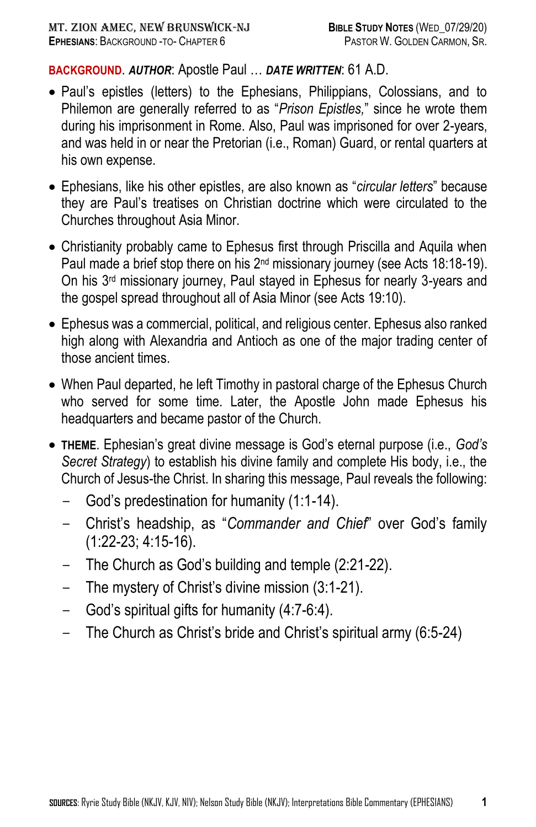## **BACKGROUND**. *AUTHOR*: Apostle Paul … *DATE WRITTEN*: 61 A.D.

- Paul's epistles (letters) to the Ephesians, Philippians, Colossians, and to Philemon are generally referred to as "*Prison Epistles,*" since he wrote them during his imprisonment in Rome. Also, Paul was imprisoned for over 2-years, and was held in or near the Pretorian (i.e., Roman) Guard, or rental quarters at his own expense.
- Ephesians, like his other epistles, are also known as "*circular letters*" because they are Paul's treatises on Christian doctrine which were circulated to the Churches throughout Asia Minor.
- Christianity probably came to Ephesus first through Priscilla and Aquila when Paul made a brief stop there on his 2<sup>nd</sup> missionary journey (see Acts 18:18-19). On his 3rd missionary journey, Paul stayed in Ephesus for nearly 3-years and the gospel spread throughout all of Asia Minor (see Acts 19:10).
- Ephesus was a commercial, political, and religious center. Ephesus also ranked high along with Alexandria and Antioch as one of the major trading center of those ancient times.
- When Paul departed, he left Timothy in pastoral charge of the Ephesus Church who served for some time. Later, the Apostle John made Ephesus his headquarters and became pastor of the Church.
- **THEME**. Ephesian's great divine message is God's eternal purpose (i.e., *God's Secret Strategy*) to establish his divine family and complete His body, i.e., the Church of Jesus-the Christ. In sharing this message, Paul reveals the following:
	- God's predestination for humanity (1:1-14).
	- Christ's headship, as "*Commander and Chief*" over God's family (1:22-23; 4:15-16).
	- The Church as God's building and temple (2:21-22).
	- The mystery of Christ's divine mission (3:1-21).
	- God's spiritual gifts for humanity (4:7-6:4).
	- The Church as Christ's bride and Christ's spiritual army (6:5-24)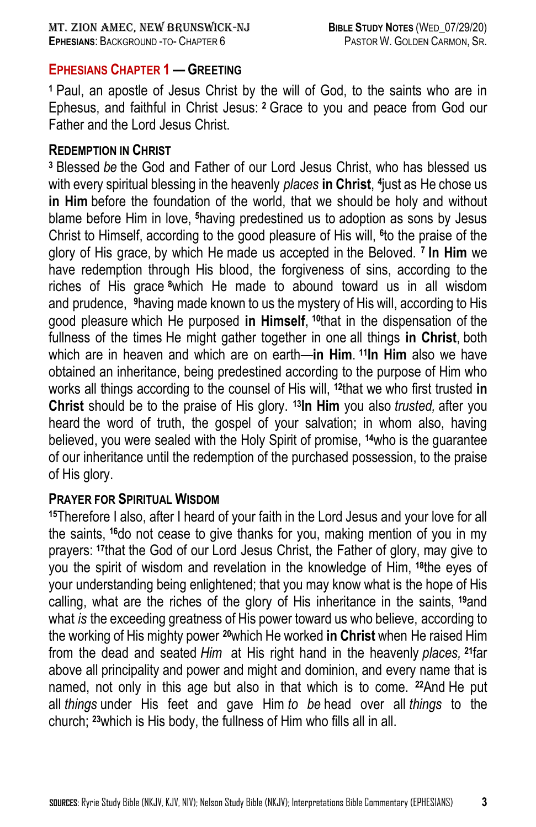### **EPHESIANS CHAPTER 1 — GREETING**

**<sup>1</sup>** Paul, an apostle of Jesus Christ by the will of God, to the saints who are in Ephesus, and faithful in Christ Jesus: **<sup>2</sup>** Grace to you and peace from God our Father and the Lord Jesus Christ.

### **REDEMPTION IN CHRIST**

**<sup>3</sup>** Blessed *be* the God and Father of our Lord Jesus Christ, who has blessed us with every spiritual blessing in the heavenly *places* **in Christ**, **4** just as He chose us **in Him** before the foundation of the world, that we should be holy and without blame before Him in love, **<sup>5</sup>**having predestined us to adoption as sons by Jesus Christ to Himself, according to the good pleasure of His will, **<sup>6</sup>** to the praise of the glory of His grace, by which He made us accepted in the Beloved. **<sup>7</sup> In Him** we have redemption through His blood, the forgiveness of sins, according to the riches of His grace **<sup>8</sup>**which He made to abound toward us in all wisdom and prudence, **<sup>9</sup>**having made known to us the mystery of His will, according to His good pleasure which He purposed **in Himself**, **<sup>10</sup>**that in the dispensation of the fullness of the times He might gather together in one all things **in Christ**, both which are in heaven and which are on earth—**in Him**. **<sup>11</sup>In Him** also we have obtained an inheritance, being predestined according to the purpose of Him who works all things according to the counsel of His will, **<sup>12</sup>**that we who first trusted **in Christ** should be to the praise of His glory. **<sup>13</sup>In Him** you also *trusted,* after you heard the word of truth, the gospel of your salvation; in whom also, having believed, you were sealed with the Holy Spirit of promise, **<sup>14</sup>**who is the guarantee of our inheritance until the redemption of the purchased possession, to the praise of His glory.

### **PRAYER FOR SPIRITUAL WISDOM**

**<sup>15</sup>**Therefore I also, after I heard of your faith in the Lord Jesus and your love for all the saints, **<sup>16</sup>**do not cease to give thanks for you, making mention of you in my prayers: **<sup>17</sup>**that the God of our Lord Jesus Christ, the Father of glory, may give to you the spirit of wisdom and revelation in the knowledge of Him, **<sup>18</sup>**the eyes of your understanding being enlightened; that you may know what is the hope of His calling, what are the riches of the glory of His inheritance in the saints, **<sup>19</sup>**and what *is* the exceeding greatness of His power toward us who believe, according to the working of His mighty power **<sup>20</sup>**which He worked **in Christ** when He raised Him from the dead and seated *Him* at His right hand in the heavenly *places,* **<sup>21</sup>**far above all principality and power and might and dominion, and every name that is named, not only in this age but also in that which is to come. **<sup>22</sup>**And He put all *things* under His feet and gave Him *to be* head over all *things* to the church; **<sup>23</sup>**which is His body, the fullness of Him who fills all in all.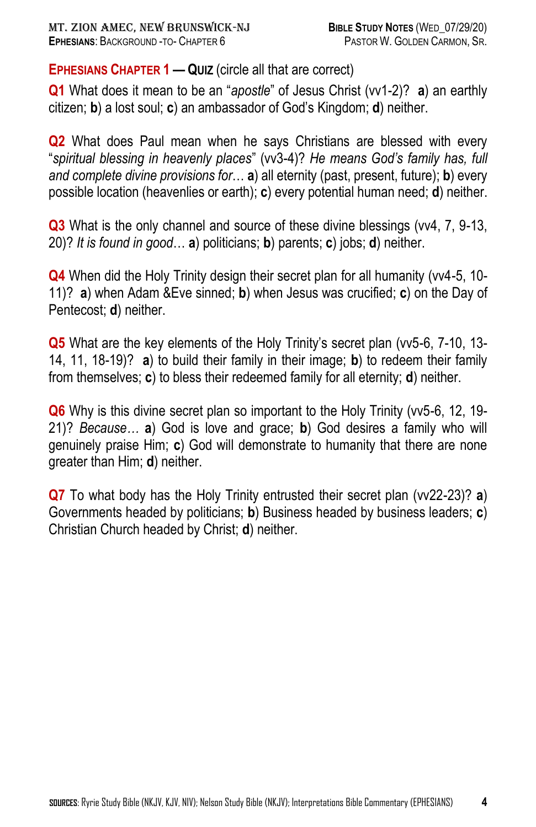**EPHESIANS CHAPTER 1 — QUIZ** (circle all that are correct)

**Q1** What does it mean to be an "*apostle*" of Jesus Christ (vv1-2)? **a**) an earthly citizen; **b**) a lost soul; **c**) an ambassador of God's Kingdom; **d**) neither.

**Q2** What does Paul mean when he says Christians are blessed with every "*spiritual blessing in heavenly places*" (vv3-4)? *He means God's family has, full and complete divine provisions for*… **a**) all eternity (past, present, future); **b**) every possible location (heavenlies or earth); **c**) every potential human need; **d**) neither.

**Q3** What is the only channel and source of these divine blessings (vv4, 7, 9-13, 20)? *It is found in good*… **a**) politicians; **b**) parents; **c**) jobs; **d**) neither.

**Q4** When did the Holy Trinity design their secret plan for all humanity (vv4-5, 10- 11)? **a**) when Adam &Eve sinned; **b**) when Jesus was crucified; **c**) on the Day of Pentecost; **d**) neither.

**Q5** What are the key elements of the Holy Trinity's secret plan (vv5-6, 7-10, 13-14, 11, 18-19)? **a**) to build their family in their image; **b**) to redeem their family from themselves; **c**) to bless their redeemed family for all eternity; **d**) neither.

**Q6** Why is this divine secret plan so important to the Holy Trinity (vv5-6, 12, 19- 21)? *Because…* **a**) God is love and grace; **b**) God desires a family who will genuinely praise Him; **c**) God will demonstrate to humanity that there are none greater than Him; **d**) neither.

**Q7** To what body has the Holy Trinity entrusted their secret plan (vv22-23)? **a**) Governments headed by politicians; **b**) Business headed by business leaders; **c**) Christian Church headed by Christ; **d**) neither.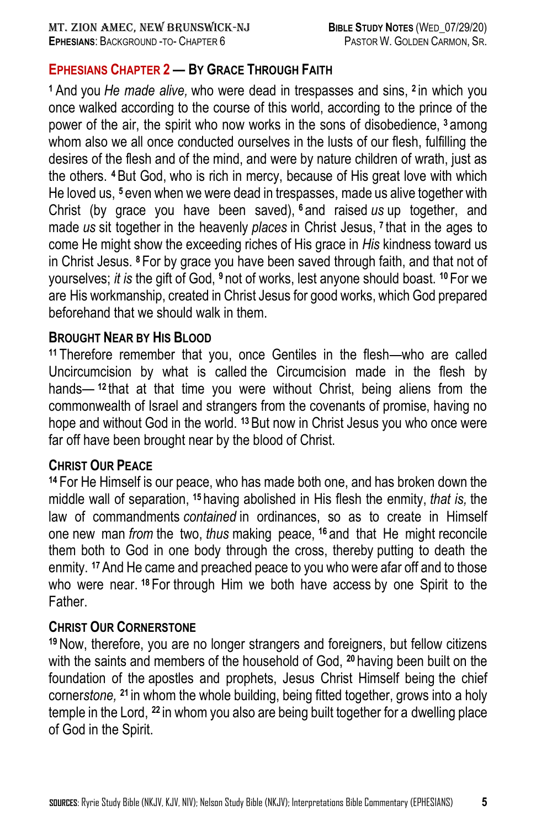# **EPHESIANS CHAPTER 2 — BY GRACE THROUGH FAITH**

**<sup>1</sup>**And you *He made alive,* who were dead in trespasses and sins, **<sup>2</sup>** in which you once walked according to the course of this world, according to the prince of the power of the air, the spirit who now works in the sons of disobedience, **<sup>3</sup>** among whom also we all once conducted ourselves in the lusts of our flesh, fulfilling the desires of the flesh and of the mind, and were by nature children of wrath, just as the others. **<sup>4</sup>**But God, who is rich in mercy, because of His great love with which He loved us, **<sup>5</sup>** even when we were dead in trespasses, made us alive together with Christ (by grace you have been saved), **<sup>6</sup>** and raised *us* up together, and made *us* sit together in the heavenly *places* in Christ Jesus, **<sup>7</sup>** that in the ages to come He might show the exceeding riches of His grace in *His* kindness toward us in Christ Jesus. **<sup>8</sup>** For by grace you have been saved through faith, and that not of yourselves; *it is* the gift of God, **<sup>9</sup>** not of works, lest anyone should boast. **<sup>10</sup>** For we are His workmanship, created in Christ Jesus for good works, which God prepared beforehand that we should walk in them.

## **BROUGHT NEAR BY HIS BLOOD**

**<sup>11</sup>** Therefore remember that you, once Gentiles in the flesh—who are called Uncircumcision by what is called the Circumcision made in the flesh by hands— **<sup>12</sup>** that at that time you were without Christ, being aliens from the commonwealth of Israel and strangers from the covenants of promise, having no hope and without God in the world. **<sup>13</sup>**But now in Christ Jesus you who once were far off have been brought near by the blood of Christ.

# **CHRIST OUR PEACE**

**<sup>14</sup>** For He Himself is our peace, who has made both one, and has broken down the middle wall of separation, **<sup>15</sup>** having abolished in His flesh the enmity, *that is,* the law of commandments *contained* in ordinances, so as to create in Himself one new man *from* the two, *thus* making peace, **<sup>16</sup>** and that He might reconcile them both to God in one body through the cross, thereby putting to death the enmity. **<sup>17</sup>**And He came and preached peace to you who were afar off and to those who were near. **<sup>18</sup>** For through Him we both have access by one Spirit to the Father.

## **CHRIST OUR CORNERSTONE**

**<sup>19</sup>** Now, therefore, you are no longer strangers and foreigners, but fellow citizens with the saints and members of the household of God, **<sup>20</sup>** having been built on the foundation of the apostles and prophets, Jesus Christ Himself being the chief corner*stone,* **<sup>21</sup>** in whom the whole building, being fitted together, grows into a holy temple in the Lord, **<sup>22</sup>** in whom you also are being built together for a dwelling place of God in the Spirit.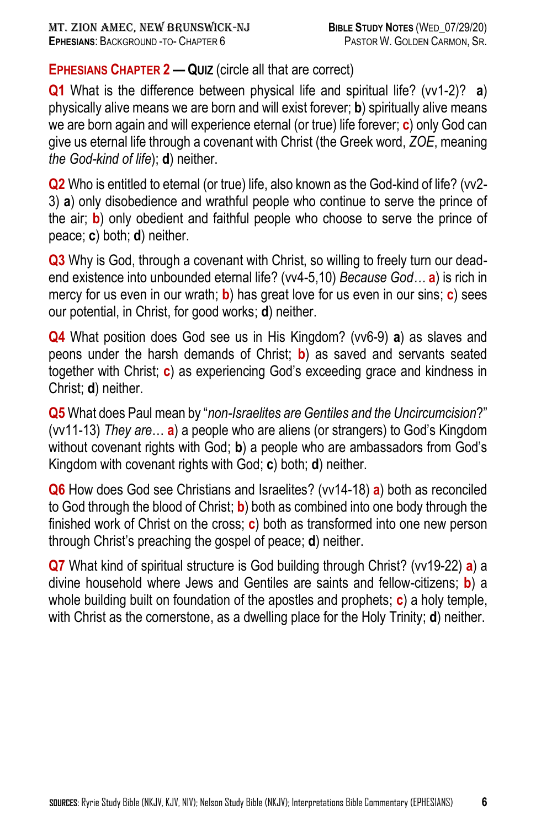# **EPHESIANS CHAPTER 2 — QUIZ** (circle all that are correct)

**Q1** What is the difference between physical life and spiritual life? (vv1-2)? **a**) physically alive means we are born and will exist forever; **b**) spiritually alive means we are born again and will experience eternal (or true) life forever; **c**) only God can give us eternal life through a covenant with Christ (the Greek word, *ZOE*, meaning *the God-kind of life*); **d**) neither.

**Q2** Who is entitled to eternal (or true) life, also known as the God-kind of life? (vv2-3) **a**) only disobedience and wrathful people who continue to serve the prince of the air; **b**) only obedient and faithful people who choose to serve the prince of peace; **c**) both; **d**) neither.

**Q3** Why is God, through a covenant with Christ, so willing to freely turn our deadend existence into unbounded eternal life? (vv4-5,10) *Because God…* **a**) is rich in mercy for us even in our wrath; **b**) has great love for us even in our sins; **c**) sees our potential, in Christ, for good works; **d**) neither.

**Q4** What position does God see us in His Kingdom? (vv6-9) **a**) as slaves and peons under the harsh demands of Christ; **b**) as saved and servants seated together with Christ; **c**) as experiencing God's exceeding grace and kindness in Christ; **d**) neither.

**Q5** What does Paul mean by "*non-Israelites are Gentiles and the Uncircumcision*?" (vv11-13) *They are*… **a**) a people who are aliens (or strangers) to God's Kingdom without covenant rights with God; **b**) a people who are ambassadors from God's Kingdom with covenant rights with God; **c**) both; **d**) neither.

**Q6** How does God see Christians and Israelites? (vv14-18) **a**) both as reconciled to God through the blood of Christ; **b**) both as combined into one body through the finished work of Christ on the cross; **c**) both as transformed into one new person through Christ's preaching the gospel of peace; **d**) neither.

**Q7** What kind of spiritual structure is God building through Christ? (vv19-22) **a**) a divine household where Jews and Gentiles are saints and fellow-citizens; **b**) a whole building built on foundation of the apostles and prophets; **c**) a holy temple, with Christ as the cornerstone, as a dwelling place for the Holy Trinity; **d**) neither.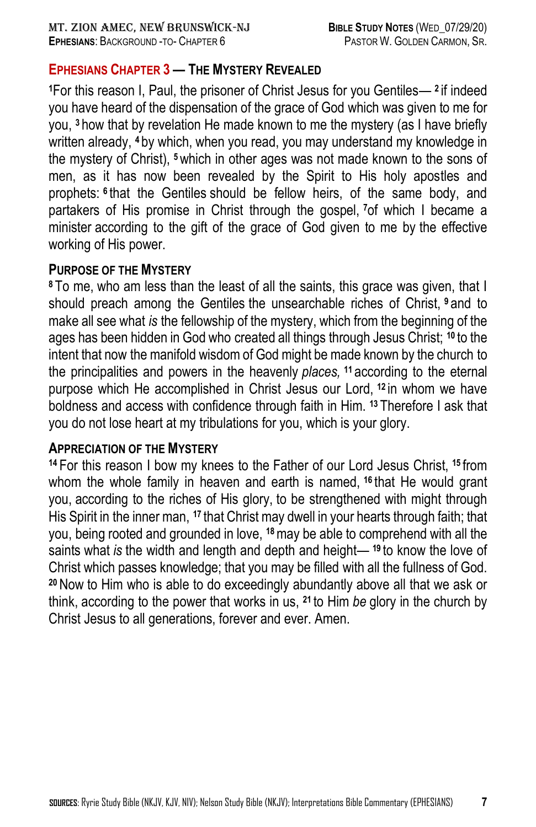## **EPHESIANS CHAPTER 3 — THE MYSTERY REVEALED**

**<sup>1</sup>**For this reason I, Paul, the prisoner of Christ Jesus for you Gentiles— **<sup>2</sup>** if indeed you have heard of the dispensation of the grace of God which was given to me for you, **<sup>3</sup>** how that by revelation He made known to me the mystery (as I have briefly written already, **<sup>4</sup>** by which, when you read, you may understand my knowledge in the mystery of Christ), **<sup>5</sup>**which in other ages was not made known to the sons of men, as it has now been revealed by the Spirit to His holy apostles and prophets: **<sup>6</sup>** that the Gentiles should be fellow heirs, of the same body, and partakers of His promise in Christ through the gospel, **<sup>7</sup>**of which I became a minister according to the gift of the grace of God given to me by the effective working of His power.

### **PURPOSE OF THE MYSTERY**

**<sup>8</sup>** To me, who am less than the least of all the saints, this grace was given, that I should preach among the Gentiles the unsearchable riches of Christ, **<sup>9</sup>** and to make all see what *is* the fellowship of the mystery, which from the beginning of the ages has been hidden in God who created all things through Jesus Christ; **<sup>10</sup>** to the intent that now the manifold wisdom of God might be made known by the church to the principalities and powers in the heavenly *places,* **<sup>11</sup>** according to the eternal purpose which He accomplished in Christ Jesus our Lord, **<sup>12</sup>** in whom we have boldness and access with confidence through faith in Him. **<sup>13</sup>** Therefore I ask that you do not lose heart at my tribulations for you, which is your glory.

### **APPRECIATION OF THE MYSTERY**

**<sup>14</sup>** For this reason I bow my knees to the Father of our Lord Jesus Christ, **<sup>15</sup>** from whom the whole family in heaven and earth is named, **<sup>16</sup>** that He would grant you, according to the riches of His glory, to be strengthened with might through His Spirit in the inner man, **<sup>17</sup>** that Christ may dwell in your hearts through faith; that you, being rooted and grounded in love, **<sup>18</sup>**may be able to comprehend with all the saints what *is* the width and length and depth and height— **<sup>19</sup>** to know the love of Christ which passes knowledge; that you may be filled with all the fullness of God. **<sup>20</sup>** Now to Him who is able to do exceedingly abundantly above all that we ask or think, according to the power that works in us, **<sup>21</sup>** to Him *be* glory in the church by Christ Jesus to all generations, forever and ever. Amen.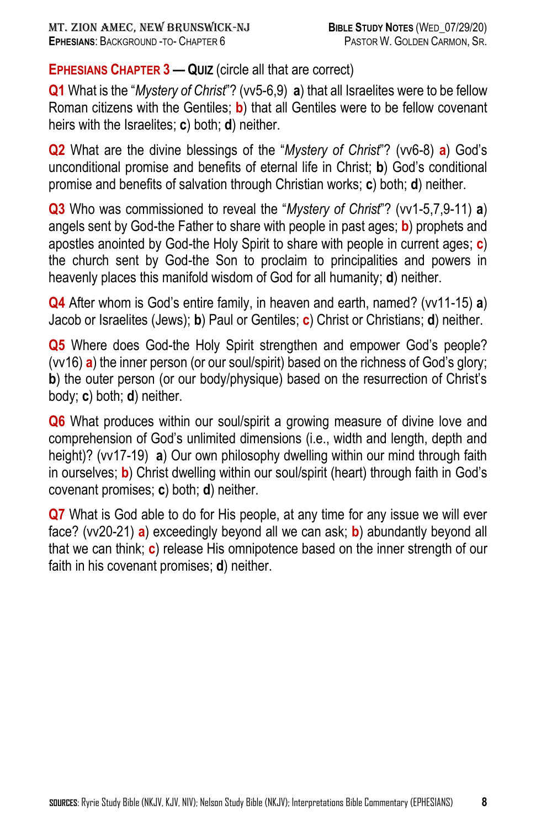# **EPHESIANS CHAPTER 3 — QUIZ** (circle all that are correct)

**Q1** What is the "*Mystery of Christ*"? (vv5-6,9) **a**) that all Israelites were to be fellow Roman citizens with the Gentiles; **b**) that all Gentiles were to be fellow covenant heirs with the Israelites; **c**) both; **d**) neither.

**Q2** What are the divine blessings of the "*Mystery of Christ*"? (vv6-8) **a**) God's unconditional promise and benefits of eternal life in Christ; **b**) God's conditional promise and benefits of salvation through Christian works; **c**) both; **d**) neither.

**Q3** Who was commissioned to reveal the "*Mystery of Christ*"? (vv1-5,7,9-11) **a**) angels sent by God-the Father to share with people in past ages; **b**) prophets and apostles anointed by God-the Holy Spirit to share with people in current ages; **c**) the church sent by God-the Son to proclaim to principalities and powers in heavenly places this manifold wisdom of God for all humanity; **d**) neither.

**Q4** After whom is God's entire family, in heaven and earth, named? (vv11-15) **a**) Jacob or Israelites (Jews); **b**) Paul or Gentiles; **c**) Christ or Christians; **d**) neither.

**Q5** Where does God-the Holy Spirit strengthen and empower God's people? (vv16) **a**) the inner person (or our soul/spirit) based on the richness of God's glory; **b**) the outer person (or our body/physique) based on the resurrection of Christ's body; **c**) both; **d**) neither.

**Q6** What produces within our soul/spirit a growing measure of divine love and comprehension of God's unlimited dimensions (i.e., width and length, depth and height)? (vv17-19) **a**) Our own philosophy dwelling within our mind through faith in ourselves; **b**) Christ dwelling within our soul/spirit (heart) through faith in God's covenant promises; **c**) both; **d**) neither.

**Q7** What is God able to do for His people, at any time for any issue we will ever face? (vv20-21) **a**) exceedingly beyond all we can ask; **b**) abundantly beyond all that we can think; **c**) release His omnipotence based on the inner strength of our faith in his covenant promises; **d**) neither.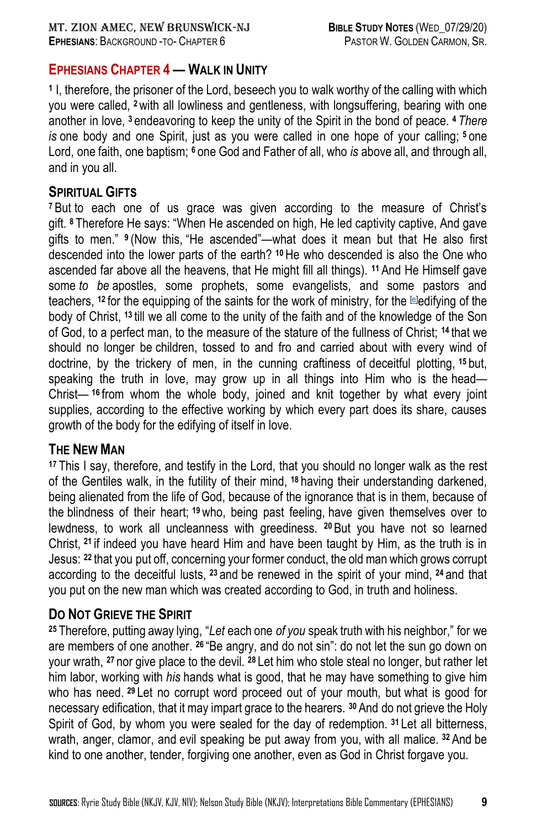## **EPHESIANS CHAPTER 4 — WALK IN UNITY**

**1** I, therefore, the prisoner of the Lord, beseech you to walk worthy of the calling with which you were called, **<sup>2</sup>** with all lowliness and gentleness, with longsuffering, bearing with one another in love, **<sup>3</sup>** endeavoring to keep the unity of the Spirit in the bond of peace. **<sup>4</sup>** *There is* one body and one Spirit, just as you were called in one hope of your calling; **<sup>5</sup>** one Lord, one faith, one baptism; **<sup>6</sup>** one God and Father of all, who *is* above all, and through all, and in you all.

### **SPIRITUAL GIFTS**

**<sup>7</sup>** But to each one of us grace was given according to the measure of Christ's gift. **<sup>8</sup>** Therefore He says: "When He ascended on high, He led captivity captive, And gave gifts to men." **<sup>9</sup>** (Now this, "He ascended"—what does it mean but that He also first descended into the lower parts of the earth? **<sup>10</sup>** He who descended is also the One who ascended far above all the heavens, that He might fill all things). **<sup>11</sup>** And He Himself gave some *to be* apostles, some prophets, some evangelists, and some pastors and teachers, **<sup>12</sup>** for the equipping of the saints for the work of ministry, for the [\[e\]](https://www.biblegateway.com/passage/?search=Ephesians+4&version=NKJV#fen-NKJV-29285e)edifying of the body of Christ, **<sup>13</sup>** till we all come to the unity of the faith and of the knowledge of the Son of God, to a perfect man, to the measure of the stature of the fullness of Christ; **<sup>14</sup>** that we should no longer be children, tossed to and fro and carried about with every wind of doctrine, by the trickery of men, in the cunning craftiness of deceitful plotting, **<sup>15</sup>** but, speaking the truth in love, may grow up in all things into Him who is the head— Christ— **<sup>16</sup>** from whom the whole body, joined and knit together by what every joint supplies, according to the effective working by which every part does its share, causes growth of the body for the edifying of itself in love.

#### **THE NEW MAN**

**<sup>17</sup>** This I say, therefore, and testify in the Lord, that you should no longer walk as the rest of the Gentiles walk, in the futility of their mind, **<sup>18</sup>** having their understanding darkened, being alienated from the life of God, because of the ignorance that is in them, because of the blindness of their heart; **<sup>19</sup>** who, being past feeling, have given themselves over to lewdness, to work all uncleanness with greediness. **<sup>20</sup>** But you have not so learned Christ, **<sup>21</sup>** if indeed you have heard Him and have been taught by Him, as the truth is in Jesus: **<sup>22</sup>** that you put off, concerning your former conduct, the old man which grows corrupt according to the deceitful lusts, **<sup>23</sup>** and be renewed in the spirit of your mind, **<sup>24</sup>** and that you put on the new man which was created according to God, in truth and holiness.

### **DO NOT GRIEVE THE SPIRIT**

**<sup>25</sup>** Therefore, putting away lying, "*Let* each one *of you* speak truth with his neighbor," for we are members of one another. **<sup>26</sup>** "Be angry, and do not sin": do not let the sun go down on your wrath, **<sup>27</sup>** nor give place to the devil. **<sup>28</sup>** Let him who stole steal no longer, but rather let him labor, working with *his* hands what is good, that he may have something to give him who has need. **<sup>29</sup>** Let no corrupt word proceed out of your mouth, but what is good for necessary edification, that it may impart grace to the hearers. **<sup>30</sup>** And do not grieve the Holy Spirit of God, by whom you were sealed for the day of redemption. **<sup>31</sup>** Let all bitterness, wrath, anger, clamor, and evil speaking be put away from you, with all malice. **<sup>32</sup>** And be kind to one another, tender, forgiving one another, even as God in Christ forgave you.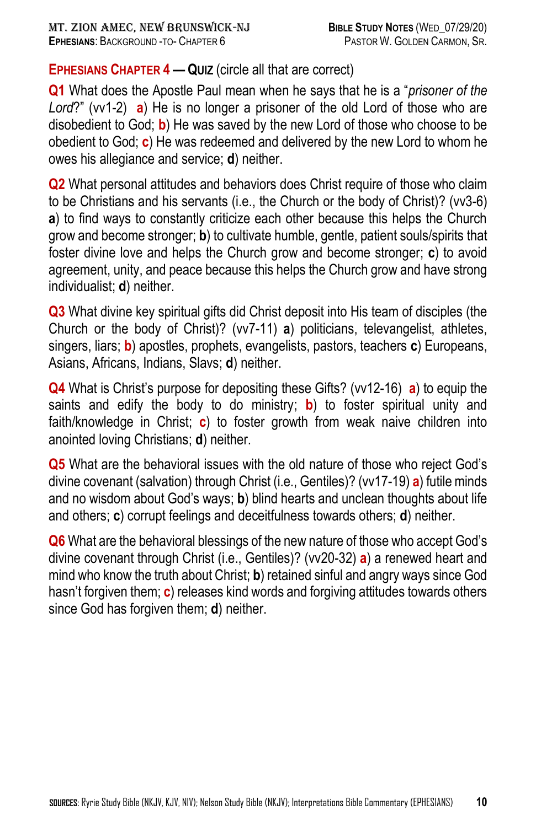## **EPHESIANS CHAPTER 4 — QUIZ** (circle all that are correct)

**Q1** What does the Apostle Paul mean when he says that he is a "*prisoner of the Lord*?" (vv1-2) **a**) He is no longer a prisoner of the old Lord of those who are disobedient to God; **b**) He was saved by the new Lord of those who choose to be obedient to God; **c**) He was redeemed and delivered by the new Lord to whom he owes his allegiance and service; **d**) neither.

**Q2** What personal attitudes and behaviors does Christ require of those who claim to be Christians and his servants (i.e., the Church or the body of Christ)? (vv3-6) **a**) to find ways to constantly criticize each other because this helps the Church grow and become stronger; **b**) to cultivate humble, gentle, patient souls/spirits that foster divine love and helps the Church grow and become stronger; **c**) to avoid agreement, unity, and peace because this helps the Church grow and have strong individualist; **d**) neither.

**Q3** What divine key spiritual gifts did Christ deposit into His team of disciples (the Church or the body of Christ)? (vv7-11) **a**) politicians, televangelist, athletes, singers, liars; **b**) apostles, prophets, evangelists, pastors, teachers **c**) Europeans, Asians, Africans, Indians, Slavs; **d**) neither.

**Q4** What is Christ's purpose for depositing these Gifts? (vv12-16) **a**) to equip the saints and edify the body to do ministry; **b**) to foster spiritual unity and faith/knowledge in Christ; **c**) to foster growth from weak naive children into anointed loving Christians; **d**) neither.

**Q5** What are the behavioral issues with the old nature of those who reject God's divine covenant (salvation) through Christ (i.e., Gentiles)? (vv17-19) **a**) futile minds and no wisdom about God's ways; **b**) blind hearts and unclean thoughts about life and others; **c**) corrupt feelings and deceitfulness towards others; **d**) neither.

**Q6** What are the behavioral blessings of the new nature of those who accept God's divine covenant through Christ (i.e., Gentiles)? (vv20-32) **a**) a renewed heart and mind who know the truth about Christ; **b**) retained sinful and angry ways since God hasn't forgiven them; **c**) releases kind words and forgiving attitudes towards others since God has forgiven them; **d**) neither.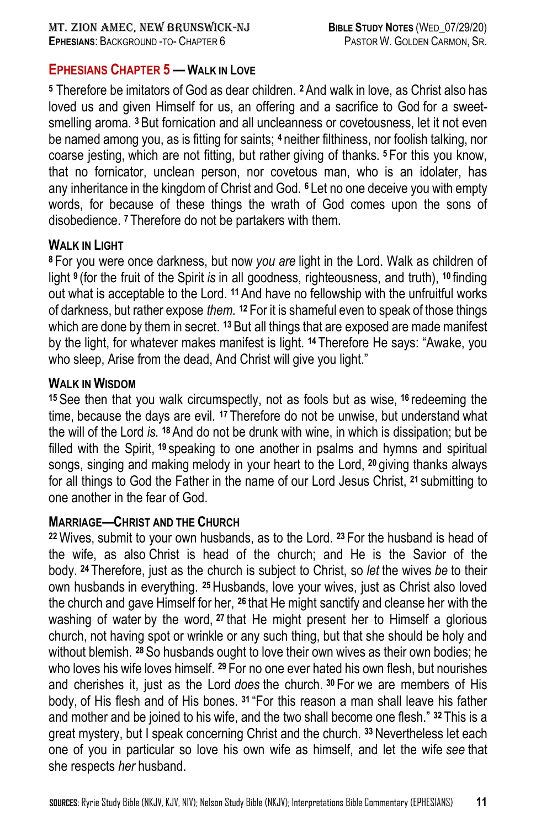### **EPHESIANS CHAPTER 5 — WALK IN LOVE**

**<sup>5</sup>** Therefore be imitators of God as dear children. **<sup>2</sup>** And walk in love, as Christ also has loved us and given Himself for us, an offering and a sacrifice to God for a sweetsmelling aroma. **<sup>3</sup>** But fornication and all uncleanness or covetousness, let it not even be named among you, as is fitting for saints; **<sup>4</sup>** neither filthiness, nor foolish talking, nor coarse jesting, which are not fitting, but rather giving of thanks. **<sup>5</sup>** For this you know, that no fornicator, unclean person, nor covetous man, who is an idolater, has any inheritance in the kingdom of Christ and God. **<sup>6</sup>** Let no one deceive you with empty words, for because of these things the wrath of God comes upon the sons of disobedience. **<sup>7</sup>** Therefore do not be partakers with them.

#### **WALK IN LIGHT**

**<sup>8</sup>** For you were once darkness, but now *you are* light in the Lord. Walk as children of light **<sup>9</sup>** (for the fruit of the Spirit *is* in all goodness, righteousness, and truth), **<sup>10</sup>** finding out what is acceptable to the Lord. **<sup>11</sup>** And have no fellowship with the unfruitful works of darkness, but rather expose *them.* **<sup>12</sup>** For it is shameful even to speak of those things which are done by them in secret. **<sup>13</sup>** But all things that are exposed are made manifest by the light, for whatever makes manifest is light. **<sup>14</sup>** Therefore He says: "Awake, you who sleep, Arise from the dead, And Christ will give you light."

#### **WALK IN WISDOM**

**<sup>15</sup>** See then that you walk circumspectly, not as fools but as wise, **<sup>16</sup>** redeeming the time, because the days are evil. **<sup>17</sup>** Therefore do not be unwise, but understand what the will of the Lord *is.* **<sup>18</sup>** And do not be drunk with wine, in which is dissipation; but be filled with the Spirit, **<sup>19</sup>** speaking to one another in psalms and hymns and spiritual songs, singing and making melody in your heart to the Lord, **<sup>20</sup>** giving thanks always for all things to God the Father in the name of our Lord Jesus Christ, **<sup>21</sup>** submitting to one another in the fear of God.

### **MARRIAGE—CHRIST AND THE CHURCH**

**<sup>22</sup>** Wives, submit to your own husbands, as to the Lord. **<sup>23</sup>** For the husband is head of the wife, as also Christ is head of the church; and He is the Savior of the body. **<sup>24</sup>** Therefore, just as the church is subject to Christ, so *let* the wives *be* to their own husbands in everything. **25**Husbands, love your wives, just as Christ also loved the church and gave Himself for her, **<sup>26</sup>** that He might sanctify and cleanse her with the washing of water by the word, **<sup>27</sup>** that He might present her to Himself a glorious church, not having spot or wrinkle or any such thing, but that she should be holy and without blemish. **<sup>28</sup>** So husbands ought to love their own wives as their own bodies; he who loves his wife loves himself. **<sup>29</sup>** For no one ever hated his own flesh, but nourishes and cherishes it, just as the Lord *does* the church. **<sup>30</sup>** For we are members of His body, of His flesh and of His bones. **<sup>31</sup>** "For this reason a man shall leave his father and mother and be joined to his wife, and the two shall become one flesh." **<sup>32</sup>** This is a great mystery, but I speak concerning Christ and the church. **<sup>33</sup>** Nevertheless let each one of you in particular so love his own wife as himself, and let the wife *see* that she respects *her* husband.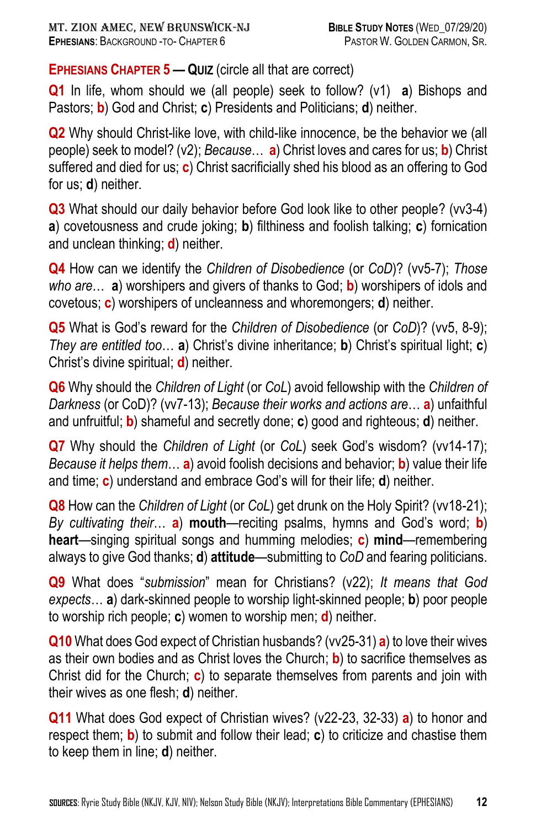**EPHESIANS CHAPTER 5 — QUIZ** (circle all that are correct)

**Q1** In life, whom should we (all people) seek to follow? (v1) **a**) Bishops and Pastors; **b**) God and Christ; **c**) Presidents and Politicians; **d**) neither.

**Q2** Why should Christ-like love, with child-like innocence, be the behavior we (all people) seek to model? (v2); *Because*… **a**) Christ loves and cares for us; **b**) Christ suffered and died for us; **c**) Christ sacrificially shed his blood as an offering to God for us; **d**) neither.

**Q3** What should our daily behavior before God look like to other people? (vv3-4) **a**) covetousness and crude joking; **b**) filthiness and foolish talking; **c**) fornication and unclean thinking; **d**) neither.

**Q4** How can we identify the *Children of Disobedience* (or *CoD*)? (vv5-7); *Those who are*… **a**) worshipers and givers of thanks to God; **b**) worshipers of idols and covetous; **c**) worshipers of uncleanness and whoremongers; **d**) neither.

**Q5** What is God's reward for the *Children of Disobedience* (or *CoD*)? (vv5, 8-9); *They are entitled too*… **a**) Christ's divine inheritance; **b**) Christ's spiritual light; **c**) Christ's divine spiritual; **d**) neither.

**Q6** Why should the *Children of Light* (or *CoL*) avoid fellowship with the *Children of Darkness* (or CoD)? (vv7-13); *Because their works and actions are*… **a**) unfaithful and unfruitful; **b**) shameful and secretly done; **c**) good and righteous; **d**) neither.

**Q7** Why should the *Children of Light* (or *CoL*) seek God's wisdom? (vv14-17); *Because it helps them*… **a**) avoid foolish decisions and behavior; **b**) value their life and time; **c**) understand and embrace God's will for their life; **d**) neither.

**Q8** How can the *Children of Light* (or *CoL*) get drunk on the Holy Spirit? (vv18-21); *By cultivating their*… **a**) **mouth**—reciting psalms, hymns and God's word; **b**) **heart**—singing spiritual songs and humming melodies; **c**) **mind**—remembering always to give God thanks; **d**) **attitude**—submitting to *CoD* and fearing politicians.

**Q9** What does "*submission*" mean for Christians? (v22); *It means that God expects*… **a**) dark-skinned people to worship light-skinned people; **b**) poor people to worship rich people; **c**) women to worship men; **d**) neither.

**Q10** What does God expect of Christian husbands? (vv25-31) **a**) to love their wives as their own bodies and as Christ loves the Church; **b**) to sacrifice themselves as Christ did for the Church; **c**) to separate themselves from parents and join with their wives as one flesh; **d**) neither.

**Q11** What does God expect of Christian wives? (v22-23, 32-33) **a**) to honor and respect them; **b**) to submit and follow their lead; **c**) to criticize and chastise them to keep them in line; **d**) neither.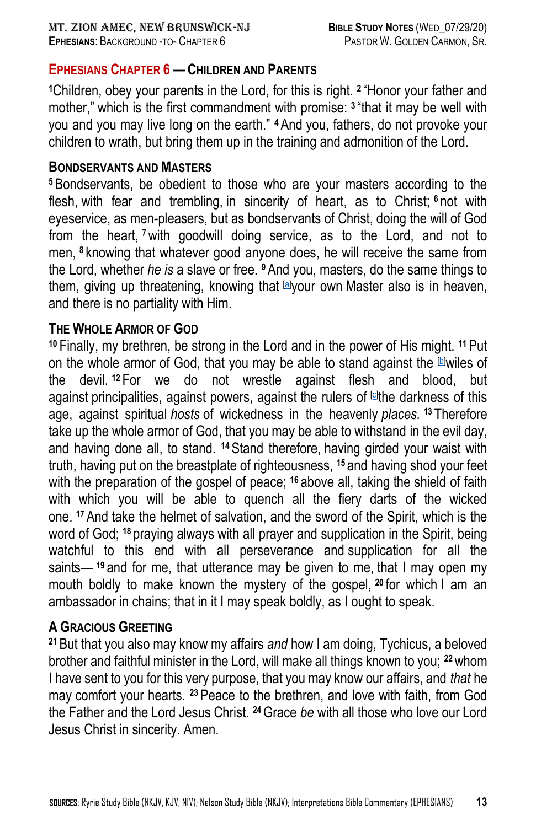## **EPHESIANS CHAPTER 6 — CHILDREN AND PARENTS**

**<sup>1</sup>**Children, obey your parents in the Lord, for this is right. **<sup>2</sup>** "Honor your father and mother," which is the first commandment with promise: **<sup>3</sup>** "that it may be well with you and you may live long on the earth." **4**And you, fathers, do not provoke your children to wrath, but bring them up in the training and admonition of the Lord.

#### **BONDSERVANTS AND MASTERS**

**<sup>5</sup>**Bondservants, be obedient to those who are your masters according to the flesh, with fear and trembling, in sincerity of heart, as to Christ; **<sup>6</sup>** not with eyeservice, as men-pleasers, but as bondservants of Christ, doing the will of God from the heart, **<sup>7</sup>**with goodwill doing service, as to the Lord, and not to men, **<sup>8</sup>** knowing that whatever good anyone does, he will receive the same from the Lord, whether *he is* a slave or free. **9**And you, masters, do the same things to them, giving up threatening, knowing that [\[a\]](https://www.biblegateway.com/passage/?search=Ephesians+6&version=NKJV#fen-NKJV-29347a)your own Master also is in heaven, and there is no partiality with Him.

### **THE WHOLE ARMOR OF GOD**

**<sup>10</sup>** Finally, my brethren, be strong in the Lord and in the power of His might. **<sup>11</sup>**Put on the whole armor of God, that you may be able to stand against the Dwiles of the devil. **<sup>12</sup>** For we do not wrestle against flesh and blood, but against principalities, against powers, against the rulers of <sup>ci</sup>the darkness of this age, against spiritual *hosts* of wickedness in the heavenly *places.* **<sup>13</sup>** Therefore take up the whole armor of God, that you may be able to withstand in the evil day, and having done all, to stand. **14**Stand therefore, having girded your waist with truth, having put on the breastplate of righteousness, **<sup>15</sup>** and having shod your feet with the preparation of the gospel of peace; **<sup>16</sup>** above all, taking the shield of faith with which you will be able to quench all the fiery darts of the wicked one. **<sup>17</sup>**And take the helmet of salvation, and the sword of the Spirit, which is the word of God; **<sup>18</sup>** praying always with all prayer and supplication in the Spirit, being watchful to this end with all perseverance and supplication for all the saints— **<sup>19</sup>** and for me, that utterance may be given to me, that I may open my mouth boldly to make known the mystery of the gospel, **<sup>20</sup>** for which I am an ambassador in chains; that in it I may speak boldly, as I ought to speak.

## **A GRACIOUS GREETING**

**<sup>21</sup>** But that you also may know my affairs *and* how I am doing, Tychicus, a beloved brother and faithful minister in the Lord, will make all things known to you; **<sup>22</sup>**whom I have sent to you for this very purpose, that you may know our affairs, and *that* he may comfort your hearts. **23**Peace to the brethren, and love with faith, from God the Father and the Lord Jesus Christ. **<sup>24</sup>**Grace *be* with all those who love our Lord Jesus Christ in sincerity. Amen.